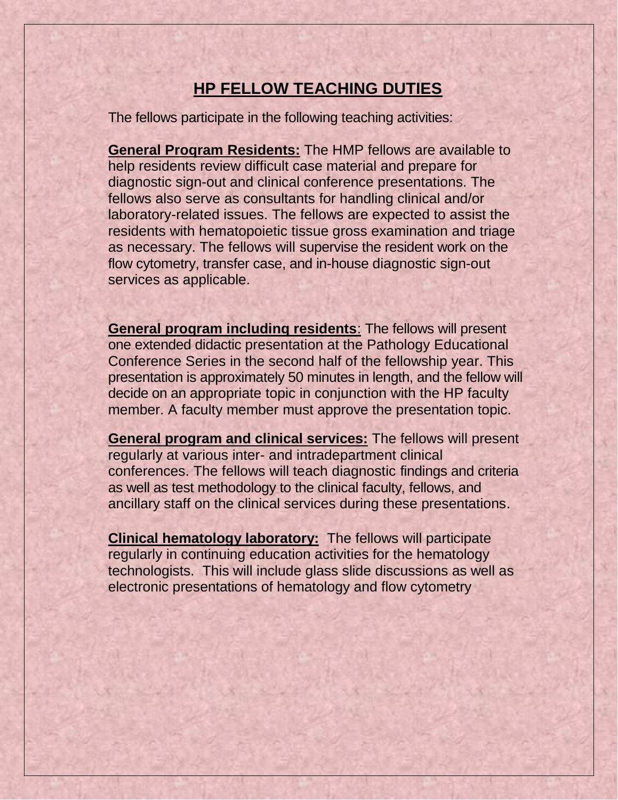## **HP FELLOW TEACHING DUTIES**

The fellows participate in the following teaching activities:

**General Proqram Residents:** The HMP fellows are available to help residents review difficult case material and prepare for diagnostic sign-out and clinical conference presentations. The fellows also serve as consultants for handling clinical and/or laboratory-related issues. The fellows are expected to assist the residents with hematopoietic tissue gross examination and triage as necessary. The fellows will supervise the resident work on the flow cytometry, transfer case, and in-house diagnostic sign-out services as applicable.

**General proqram includinq residents**: The fellows will present one extended didactic presentation at the Pathology Educational Conference Series in the second half of the fellowship year. This presentation is approximately 50 minutes in length, and the fellow will decide on an appropriate topic in conjunction with the HP faculty member. A faculty member must approve the presentation topic.

**General program and clinical services:** The fellows will present regularly at various inter- and intradepartment clinical conferences. The fellows will teach diagnostic findings and criteria as well as test methodology to the clinical faculty, fellows, and ancillary staff on the clinical services during these presentations.

**Clinical hematology laboratory:** The fellows will participate regularly in continuing education activities for the hematology technologists. This will include glass slide discussions as well as electronic presentations of hematology and flow cytometry